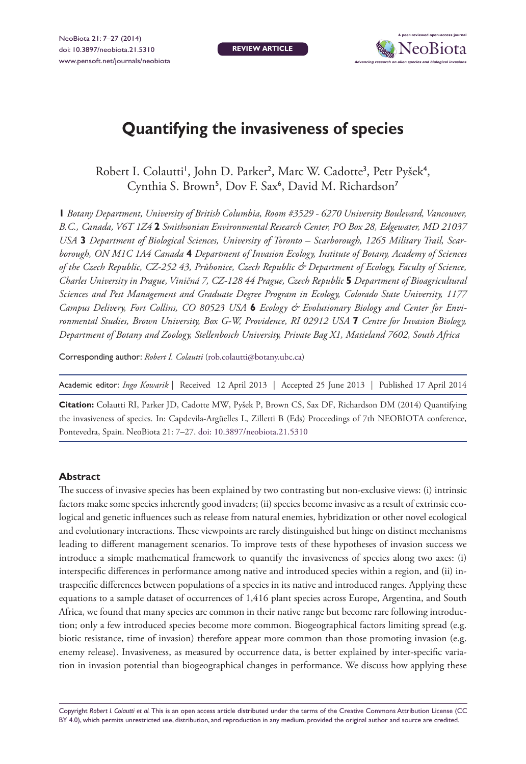**REVIEW ARTICLE**



# **Quantifying the invasiveness of species**

Robert I. Colautti', John D. Parker<sup>2</sup>, Marc W. Cadotte<sup>3</sup>, Petr Pyšek<sup>4</sup>, Cynthia S. Brown<sup>5</sup>, Dov F. Sax<sup>6</sup>, David M. Richardson<sup>7</sup>

**1** *Botany Department, University of British Columbia, Room #3529 - 6270 University Boulevard, Vancouver, B.C., Canada, V6T 1Z4* **2** *Smithsonian Environmental Research Center, PO Box 28, Edgewater, MD 21037 USA* **3** *Department of Biological Sciences, University of Toronto – Scarborough, 1265 Military Trail, Scarborough, ON M1C 1A4 Canada* **4** *Department of Invasion Ecology, Institute of Botany, Academy of Sciences of the Czech Republic, CZ-252 43, Průhonice, Czech Republic & Department of Ecology, Faculty of Science, Charles University in Prague, Viničná 7, CZ-128 44 Prague, Czech Republic* **5** *Department of Bioagricultural Sciences and Pest Management and Graduate Degree Program in Ecology, Colorado State University, 1177 Campus Delivery, Fort Collins, CO 80523 USA* **6** *Ecology & Evolutionary Biology and Center for Environmental Studies, Brown University, Box G-W, Providence, RI 02912 USA* **7** *Centre for Invasion Biology, Department of Botany and Zoology, Stellenbosch University, Private Bag X1, Matieland 7602, South Africa*

Corresponding author: *Robert I. Colautti* [\(rob.colautti@botany.ubc.ca](mailto:rob.colautti@botany.ubc.ca))

| Academic editor: Ingo Kowarik   Received 12 April 2013   Accepted 25 June 2013   Published 17 April 2014 |
|----------------------------------------------------------------------------------------------------------|
|----------------------------------------------------------------------------------------------------------|

**Citation:** Colautti RI, Parker JD, Cadotte MW, Pyšek P, Brown CS, Sax DF, Richardson DM (2014) Quantifying the invasiveness of species. In: Capdevila-Argüelles L, Zilletti B (Eds) Proceedings of 7th NEOBIOTA conference, Pontevedra, Spain. NeoBiota 21: 7–27. [doi: 10.3897/neobiota.21.5310](http://dx.doi.org/10.3897/neobiota.21.5310)

### **Abstract**

The success of invasive species has been explained by two contrasting but non-exclusive views: (i) intrinsic factors make some species inherently good invaders; (ii) species become invasive as a result of extrinsic ecological and genetic influences such as release from natural enemies, hybridization or other novel ecological and evolutionary interactions. These viewpoints are rarely distinguished but hinge on distinct mechanisms leading to different management scenarios. To improve tests of these hypotheses of invasion success we introduce a simple mathematical framework to quantify the invasiveness of species along two axes: (i) interspecific differences in performance among native and introduced species within a region, and (ii) intraspecific differences between populations of a species in its native and introduced ranges. Applying these equations to a sample dataset of occurrences of 1,416 plant species across Europe, Argentina, and South Africa, we found that many species are common in their native range but become rare following introduction; only a few introduced species become more common. Biogeographical factors limiting spread (e.g. biotic resistance, time of invasion) therefore appear more common than those promoting invasion (e.g. enemy release). Invasiveness, as measured by occurrence data, is better explained by inter-specific variation in invasion potential than biogeographical changes in performance. We discuss how applying these

Copyright *Robert I. Colautti et al.* This is an open access article distributed under the terms of the [Creative Commons Attribution License \(CC](http://creativecommons.org/licenses/by/4.0/)  [BY 4.0\),](http://creativecommons.org/licenses/by/4.0/) which permits unrestricted use, distribution, and reproduction in any medium, provided the original author and source are credited.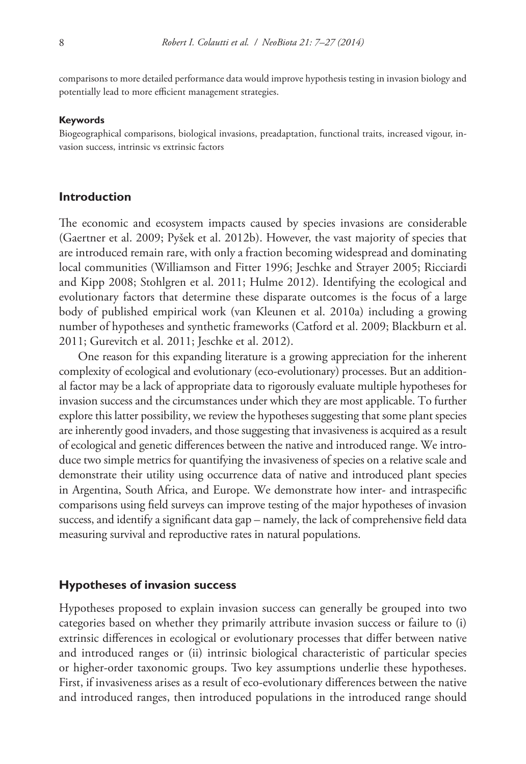comparisons to more detailed performance data would improve hypothesis testing in invasion biology and potentially lead to more efficient management strategies.

#### **Keywords**

Biogeographical comparisons, biological invasions, preadaptation, functional traits, increased vigour, invasion success, intrinsic vs extrinsic factors

# **Introduction**

The economic and ecosystem impacts caused by species invasions are considerable (Gaertner et al. 2009; Pyšek et al. 2012b). However, the vast majority of species that are introduced remain rare, with only a fraction becoming widespread and dominating local communities (Williamson and Fitter 1996; Jeschke and Strayer 2005; Ricciardi and Kipp 2008; Stohlgren et al. 2011; Hulme 2012). Identifying the ecological and evolutionary factors that determine these disparate outcomes is the focus of a large body of published empirical work (van Kleunen et al. 2010a) including a growing number of hypotheses and synthetic frameworks (Catford et al. 2009; Blackburn et al. 2011; Gurevitch et al. 2011; Jeschke et al. 2012).

One reason for this expanding literature is a growing appreciation for the inherent complexity of ecological and evolutionary (eco-evolutionary) processes. But an additional factor may be a lack of appropriate data to rigorously evaluate multiple hypotheses for invasion success and the circumstances under which they are most applicable. To further explore this latter possibility, we review the hypotheses suggesting that some plant species are inherently good invaders, and those suggesting that invasiveness is acquired as a result of ecological and genetic differences between the native and introduced range. We introduce two simple metrics for quantifying the invasiveness of species on a relative scale and demonstrate their utility using occurrence data of native and introduced plant species in Argentina, South Africa, and Europe. We demonstrate how inter- and intraspecific comparisons using field surveys can improve testing of the major hypotheses of invasion success, and identify a significant data gap – namely, the lack of comprehensive field data measuring survival and reproductive rates in natural populations.

### **Hypotheses of invasion success**

Hypotheses proposed to explain invasion success can generally be grouped into two categories based on whether they primarily attribute invasion success or failure to (i) extrinsic differences in ecological or evolutionary processes that differ between native and introduced ranges or (ii) intrinsic biological characteristic of particular species or higher-order taxonomic groups. Two key assumptions underlie these hypotheses. First, if invasiveness arises as a result of eco-evolutionary differences between the native and introduced ranges, then introduced populations in the introduced range should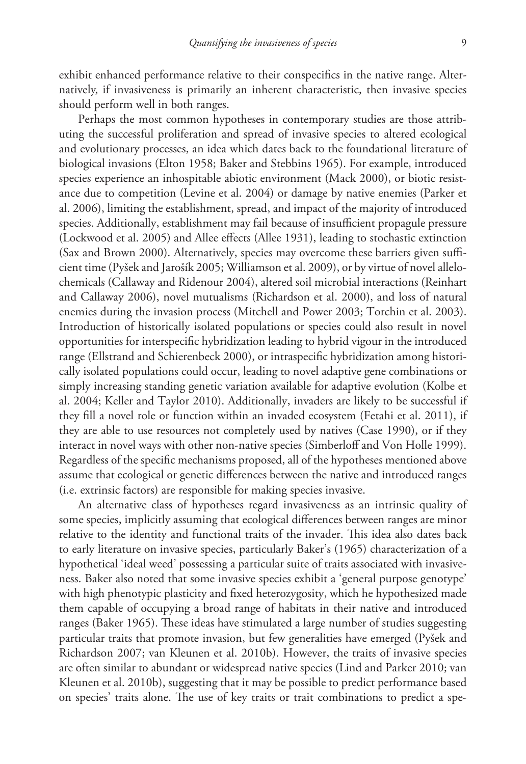exhibit enhanced performance relative to their conspecifics in the native range. Alternatively, if invasiveness is primarily an inherent characteristic, then invasive species should perform well in both ranges.

Perhaps the most common hypotheses in contemporary studies are those attributing the successful proliferation and spread of invasive species to altered ecological and evolutionary processes, an idea which dates back to the foundational literature of biological invasions (Elton 1958; Baker and Stebbins 1965). For example, introduced species experience an inhospitable abiotic environment (Mack 2000), or biotic resistance due to competition (Levine et al. 2004) or damage by native enemies (Parker et al. 2006), limiting the establishment, spread, and impact of the majority of introduced species. Additionally, establishment may fail because of insufficient propagule pressure (Lockwood et al. 2005) and Allee effects (Allee 1931), leading to stochastic extinction (Sax and Brown 2000). Alternatively, species may overcome these barriers given sufficient time (Pyšek and Jarošík 2005; Williamson et al. 2009), or by virtue of novel allelochemicals (Callaway and Ridenour 2004), altered soil microbial interactions (Reinhart and Callaway 2006), novel mutualisms (Richardson et al. 2000), and loss of natural enemies during the invasion process (Mitchell and Power 2003; Torchin et al. 2003). Introduction of historically isolated populations or species could also result in novel opportunities for interspecific hybridization leading to hybrid vigour in the introduced range (Ellstrand and Schierenbeck 2000), or intraspecific hybridization among historically isolated populations could occur, leading to novel adaptive gene combinations or simply increasing standing genetic variation available for adaptive evolution (Kolbe et al. 2004; Keller and Taylor 2010). Additionally, invaders are likely to be successful if they fill a novel role or function within an invaded ecosystem (Fetahi et al. 2011), if they are able to use resources not completely used by natives (Case 1990), or if they interact in novel ways with other non-native species (Simberloff and Von Holle 1999). Regardless of the specific mechanisms proposed, all of the hypotheses mentioned above assume that ecological or genetic differences between the native and introduced ranges (i.e. extrinsic factors) are responsible for making species invasive.

An alternative class of hypotheses regard invasiveness as an intrinsic quality of some species, implicitly assuming that ecological differences between ranges are minor relative to the identity and functional traits of the invader. This idea also dates back to early literature on invasive species, particularly Baker's (1965) characterization of a hypothetical 'ideal weed' possessing a particular suite of traits associated with invasiveness. Baker also noted that some invasive species exhibit a 'general purpose genotype' with high phenotypic plasticity and fixed heterozygosity, which he hypothesized made them capable of occupying a broad range of habitats in their native and introduced ranges (Baker 1965). These ideas have stimulated a large number of studies suggesting particular traits that promote invasion, but few generalities have emerged (Pyšek and Richardson 2007; van Kleunen et al. 2010b). However, the traits of invasive species are often similar to abundant or widespread native species (Lind and Parker 2010; van Kleunen et al. 2010b), suggesting that it may be possible to predict performance based on species' traits alone. The use of key traits or trait combinations to predict a spe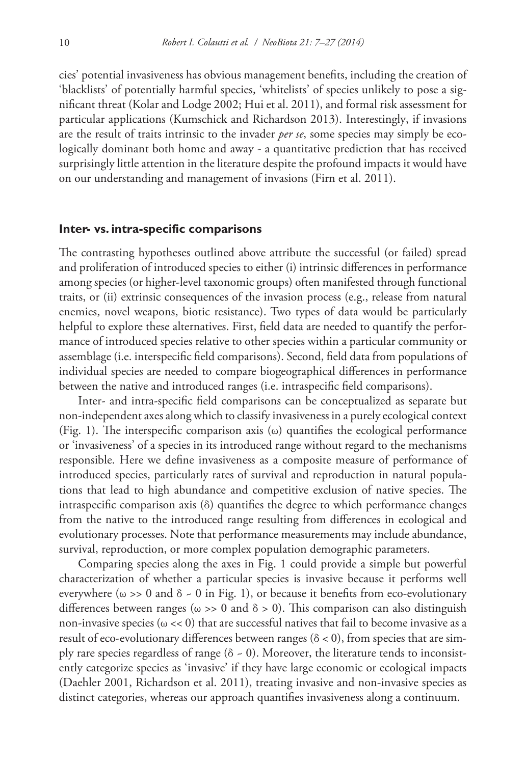cies' potential invasiveness has obvious management benefits, including the creation of 'blacklists' of potentially harmful species, 'whitelists' of species unlikely to pose a significant threat (Kolar and Lodge 2002; Hui et al. 2011), and formal risk assessment for particular applications (Kumschick and Richardson 2013). Interestingly, if invasions are the result of traits intrinsic to the invader *per se*, some species may simply be ecologically dominant both home and away - a quantitative prediction that has received surprisingly little attention in the literature despite the profound impacts it would have on our understanding and management of invasions (Firn et al. 2011).

#### **Inter- vs. intra-specific comparisons**

The contrasting hypotheses outlined above attribute the successful (or failed) spread and proliferation of introduced species to either (i) intrinsic differences in performance among species (or higher-level taxonomic groups) often manifested through functional traits, or (ii) extrinsic consequences of the invasion process (e.g., release from natural enemies, novel weapons, biotic resistance). Two types of data would be particularly helpful to explore these alternatives. First, field data are needed to quantify the performance of introduced species relative to other species within a particular community or assemblage (i.e. interspecific field comparisons). Second, field data from populations of individual species are needed to compare biogeographical differences in performance between the native and introduced ranges (i.e. intraspecific field comparisons).

Inter- and intra-specific field comparisons can be conceptualized as separate but non-independent axes along which to classify invasiveness in a purely ecological context (Fig. 1). The interspecific comparison axis (ω) quantifies the ecological performance or 'invasiveness' of a species in its introduced range without regard to the mechanisms responsible. Here we define invasiveness as a composite measure of performance of introduced species, particularly rates of survival and reproduction in natural populations that lead to high abundance and competitive exclusion of native species. The intraspecific comparison axis (δ) quantifies the degree to which performance changes from the native to the introduced range resulting from differences in ecological and evolutionary processes. Note that performance measurements may include abundance, survival, reproduction, or more complex population demographic parameters.

Comparing species along the axes in Fig. 1 could provide a simple but powerful characterization of whether a particular species is invasive because it performs well everywhere ( $\omega$  >> 0 and  $\delta$  - 0 in Fig. 1), or because it benefits from eco-evolutionary differences between ranges ( $\omega \gg 0$  and  $\delta > 0$ ). This comparison can also distinguish non-invasive species  $(\omega \ll 0)$  that are successful natives that fail to become invasive as a result of eco-evolutionary differences between ranges ( $\delta$  < 0), from species that are simply rare species regardless of range ( $\delta$  - 0). Moreover, the literature tends to inconsistently categorize species as 'invasive' if they have large economic or ecological impacts (Daehler 2001, Richardson et al. 2011), treating invasive and non-invasive species as distinct categories, whereas our approach quantifies invasiveness along a continuum.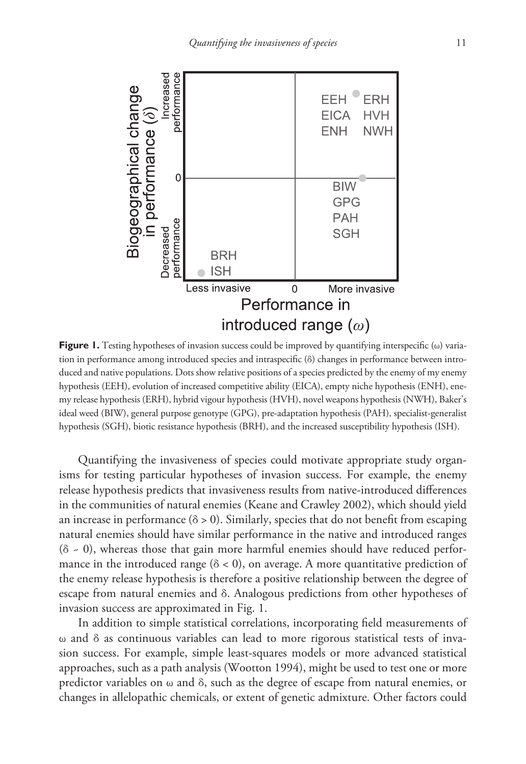

**Figure 1.** Testing hypotheses of invasion success could be improved by quantifying interspecific (ω) variation in performance among introduced species and intraspecific (δ) changes in performance between introduced and native populations. Dots show relative positions of a species predicted by the enemy of my enemy hypothesis (EEH), evolution of increased competitive ability (EICA), empty niche hypothesis (ENH), enemy release hypothesis (ERH), hybrid vigour hypothesis (HVH), novel weapons hypothesis (NWH), Baker's ideal weed (BIW), general purpose genotype (GPG), pre-adaptation hypothesis (PAH), specialist-generalist hypothesis (SGH), biotic resistance hypothesis (BRH), and the increased susceptibility hypothesis (ISH).

Quantifying the invasiveness of species could motivate appropriate study organisms for testing particular hypotheses of invasion success. For example, the enemy release hypothesis predicts that invasiveness results from native-introduced differences in the communities of natural enemies (Keane and Crawley 2002), which should yield an increase in performance ( $\delta > 0$ ). Similarly, species that do not benefit from escaping natural enemies should have similar performance in the native and introduced ranges  $(δ ~ 0)$ , whereas those that gain more harmful enemies should have reduced performance in the introduced range ( $\delta$  < 0), on average. A more quantitative prediction of the enemy release hypothesis is therefore a positive relationship between the degree of escape from natural enemies and δ. Analogous predictions from other hypotheses of invasion success are approximated in Fig. 1.

In addition to simple statistical correlations, incorporating field measurements of ω and δ as continuous variables can lead to more rigorous statistical tests of invasion success. For example, simple least-squares models or more advanced statistical approaches, such as a path analysis (Wootton 1994), might be used to test one or more predictor variables on  $\omega$  and  $\delta$ , such as the degree of escape from natural enemies, or changes in allelopathic chemicals, or extent of genetic admixture. Other factors could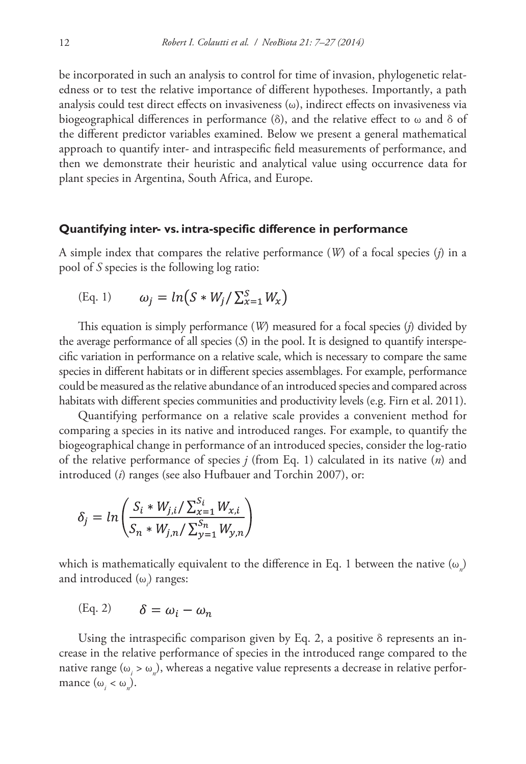be incorporated in such an analysis to control for time of invasion, phylogenetic relatedness or to test the relative importance of different hypotheses. Importantly, a path analysis could test direct effects on invasiveness (ω), indirect effects on invasiveness via biogeographical differences in performance (δ), and the relative effect to ω and δ of the different predictor variables examined. Below we present a general mathematical approach to quantify inter- and intraspecific field measurements of performance, and then we demonstrate their heuristic and analytical value using occurrence data for plant species in Argentina, South Africa, and Europe.

#### **Quantifying inter- vs. intra-specific difference in performance**

A simple index that compares the relative performance (*W*) of a focal species (*j*) in a pool of *S* species is the following log ratio:

$$
(Eq. 1) \qquad \omega_j = \ln(S * W_j / \sum_{x=1}^S W_x)
$$

This equation is simply performance (*W*) measured for a focal species (*j*) divided by the average performance of all species (*S*) in the pool. It is designed to quantify interspecific variation in performance on a relative scale, which is necessary to compare the same species in different habitats or in different species assemblages. For example, performance could be measured as the relative abundance of an introduced species and compared across habitats with different species communities and productivity levels (e.g. Firn et al. 2011).

Quantifying performance on a relative scale provides a convenient method for comparing a species in its native and introduced ranges. For example, to quantify the biogeographical change in performance of an introduced species, consider the log-ratio of the relative performance of species *j* (from Eq. 1) calculated in its native (*n*) and introduced (*i*) ranges (see also Hufbauer and Torchin 2007), or:

$$
\delta_j = \ln \left( \frac{S_i * W_{j,i} / \sum_{x=1}^{S_i} W_{x,i}}{S_n * W_{j,n} / \sum_{y=1}^{S_n} W_{y,n}} \right)
$$

which is mathematically equivalent to the difference in Eq. 1 between the native  $(\omega_n)$ and introduced (ω<sub>i</sub>) ranges:

$$
(Eq. 2) \qquad \delta = \omega_i - \omega_n
$$

Using the intraspecific comparison given by Eq. 2, a positive  $\delta$  represents an increase in the relative performance of species in the introduced range compared to the native range  $(\omega_i > \omega_n)$ , whereas a negative value represents a decrease in relative performance  $(\omega_i < \omega_n)$ .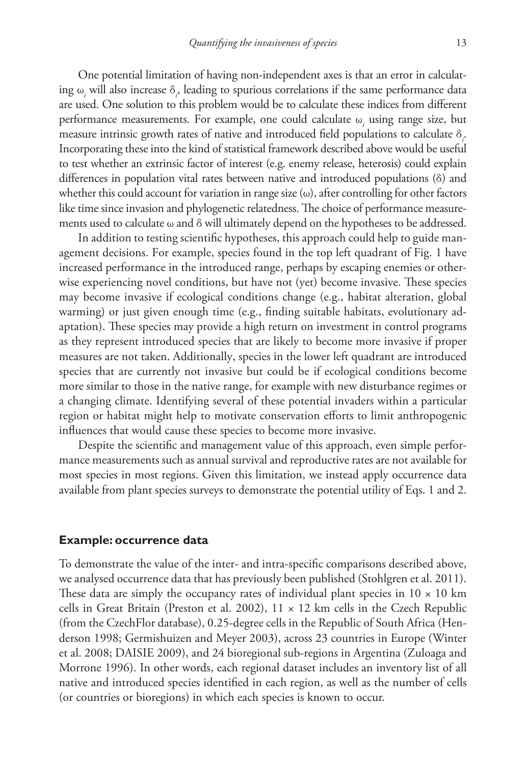One potential limitation of having non-independent axes is that an error in calculating ω*<sup>i</sup>* will also increase δ*<sup>i</sup>* , leading to spurious correlations if the same performance data are used. One solution to this problem would be to calculate these indices from different performance measurements. For example, one could calculate ω*<sup>i</sup>* using range size, but measure intrinsic growth rates of native and introduced field populations to calculate δ*<sup>i</sup>* . Incorporating these into the kind of statistical framework described above would be useful to test whether an extrinsic factor of interest (e.g. enemy release, heterosis) could explain differences in population vital rates between native and introduced populations (δ) and whether this could account for variation in range size  $(\omega)$ , after controlling for other factors like time since invasion and phylogenetic relatedness. The choice of performance measurements used to calculate  $\omega$  and  $\delta$  will ultimately depend on the hypotheses to be addressed.

In addition to testing scientific hypotheses, this approach could help to guide management decisions. For example, species found in the top left quadrant of Fig. 1 have increased performance in the introduced range, perhaps by escaping enemies or otherwise experiencing novel conditions, but have not (yet) become invasive. These species may become invasive if ecological conditions change (e.g., habitat alteration, global warming) or just given enough time (e.g., finding suitable habitats, evolutionary adaptation). These species may provide a high return on investment in control programs as they represent introduced species that are likely to become more invasive if proper measures are not taken. Additionally, species in the lower left quadrant are introduced species that are currently not invasive but could be if ecological conditions become more similar to those in the native range, for example with new disturbance regimes or a changing climate. Identifying several of these potential invaders within a particular region or habitat might help to motivate conservation efforts to limit anthropogenic influences that would cause these species to become more invasive.

Despite the scientific and management value of this approach, even simple performance measurements such as annual survival and reproductive rates are not available for most species in most regions. Given this limitation, we instead apply occurrence data available from plant species surveys to demonstrate the potential utility of Eqs. 1 and 2.

#### **Example: occurrence data**

To demonstrate the value of the inter- and intra-specific comparisons described above, we analysed occurrence data that has previously been published (Stohlgren et al. 2011). These data are simply the occupancy rates of individual plant species in  $10 \times 10$  km cells in Great Britain (Preston et al. 2002),  $11 \times 12$  km cells in the Czech Republic (from the CzechFlor database), 0.25-degree cells in the Republic of South Africa (Henderson 1998; Germishuizen and Meyer 2003), across 23 countries in Europe (Winter et al. 2008; DAISIE 2009), and 24 bioregional sub-regions in Argentina (Zuloaga and Morrone 1996). In other words, each regional dataset includes an inventory list of all native and introduced species identified in each region, as well as the number of cells (or countries or bioregions) in which each species is known to occur.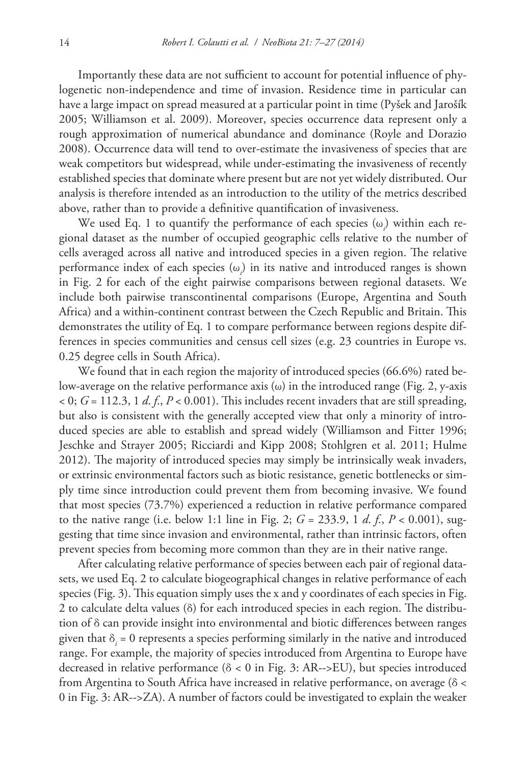Importantly these data are not sufficient to account for potential influence of phylogenetic non-independence and time of invasion. Residence time in particular can have a large impact on spread measured at a particular point in time (Pyšek and Jarošík 2005; Williamson et al. 2009). Moreover, species occurrence data represent only a rough approximation of numerical abundance and dominance (Royle and Dorazio 2008). Occurrence data will tend to over-estimate the invasiveness of species that are weak competitors but widespread, while under-estimating the invasiveness of recently established species that dominate where present but are not yet widely distributed. Our analysis is therefore intended as an introduction to the utility of the metrics described above, rather than to provide a definitive quantification of invasiveness.

We used Eq. 1 to quantify the performance of each species (ω*<sup>i</sup>* ) within each regional dataset as the number of occupied geographic cells relative to the number of cells averaged across all native and introduced species in a given region. The relative performance index of each species (ω*<sup>i</sup>* ) in its native and introduced ranges is shown in Fig. 2 for each of the eight pairwise comparisons between regional datasets. We include both pairwise transcontinental comparisons (Europe, Argentina and South Africa) and a within-continent contrast between the Czech Republic and Britain. This demonstrates the utility of Eq. 1 to compare performance between regions despite differences in species communities and census cell sizes (e.g. 23 countries in Europe vs. 0.25 degree cells in South Africa).

We found that in each region the majority of introduced species (66.6%) rated below-average on the relative performance axis (ω) in the introduced range (Fig. 2, y-axis  $\epsilon$  0; *G* = 112.3, 1 *d. f.*, *P* < 0.001). This includes recent invaders that are still spreading, but also is consistent with the generally accepted view that only a minority of introduced species are able to establish and spread widely (Williamson and Fitter 1996; Jeschke and Strayer 2005; Ricciardi and Kipp 2008; Stohlgren et al. 2011; Hulme 2012). The majority of introduced species may simply be intrinsically weak invaders, or extrinsic environmental factors such as biotic resistance, genetic bottlenecks or simply time since introduction could prevent them from becoming invasive. We found that most species (73.7%) experienced a reduction in relative performance compared to the native range (i.e. below 1:1 line in Fig. 2; *G* = 233.9, 1 *d*. *f*., *P* < 0.001), suggesting that time since invasion and environmental, rather than intrinsic factors, often prevent species from becoming more common than they are in their native range.

After calculating relative performance of species between each pair of regional datasets, we used Eq. 2 to calculate biogeographical changes in relative performance of each species (Fig. 3). This equation simply uses the x and y coordinates of each species in Fig. 2 to calculate delta values (δ) for each introduced species in each region. The distribution of δ can provide insight into environmental and biotic differences between ranges given that δ*<sup>i</sup>* = 0 represents a species performing similarly in the native and introduced range. For example, the majority of species introduced from Argentina to Europe have decreased in relative performance (δ < 0 in Fig. 3: AR-->EU), but species introduced from Argentina to South Africa have increased in relative performance, on average (δ < 0 in Fig. 3: AR-->ZA). A number of factors could be investigated to explain the weaker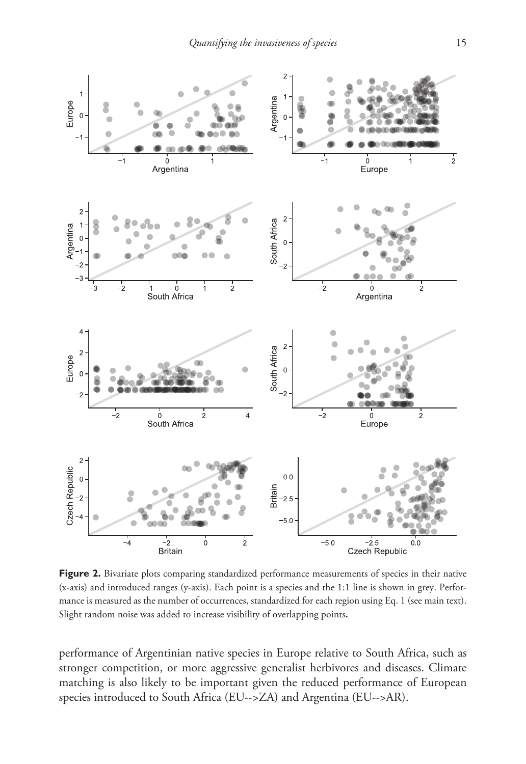

**Figure 2.** Bivariate plots comparing standardized performance measurements of species in their native (x-axis) and introduced ranges (y-axis). Each point is a species and the 1:1 line is shown in grey. Performance is measured as the number of occurrences, standardized for each region using Eq. 1 (see main text). Slight random noise was added to increase visibility of overlapping points**.**

performance of Argentinian native species in Europe relative to South Africa, such as stronger competition, or more aggressive generalist herbivores and diseases. Climate matching is also likely to be important given the reduced performance of European species introduced to South Africa (EU-->ZA) and Argentina (EU-->AR).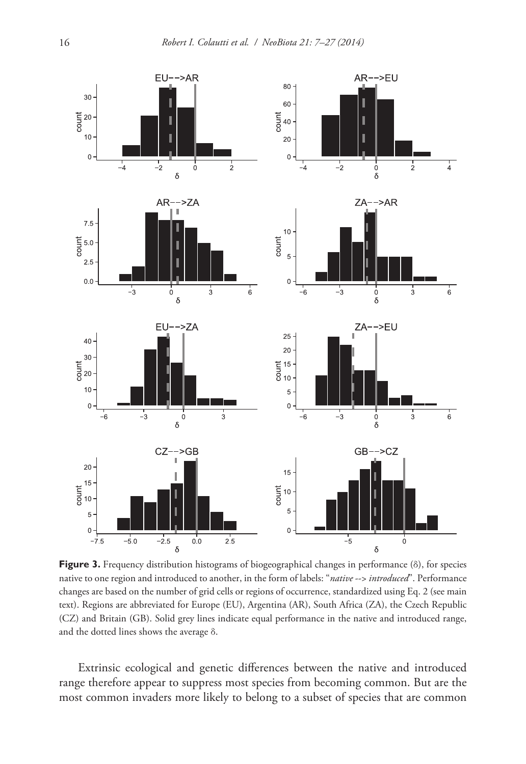

**Figure 3.** Frequency distribution histograms of biogeographical changes in performance (δ), for species native to one region and introduced to another, in the form of labels: "*native* --> *introduced*". Performance changes are based on the number of grid cells or regions of occurrence, standardized using Eq. 2 (see main text). Regions are abbreviated for Europe (EU), Argentina (AR), South Africa (ZA), the Czech Republic (CZ) and Britain (GB). Solid grey lines indicate equal performance in the native and introduced range, and the dotted lines shows the average δ.

Extrinsic ecological and genetic differences between the native and introduced range therefore appear to suppress most species from becoming common. But are the most common invaders more likely to belong to a subset of species that are common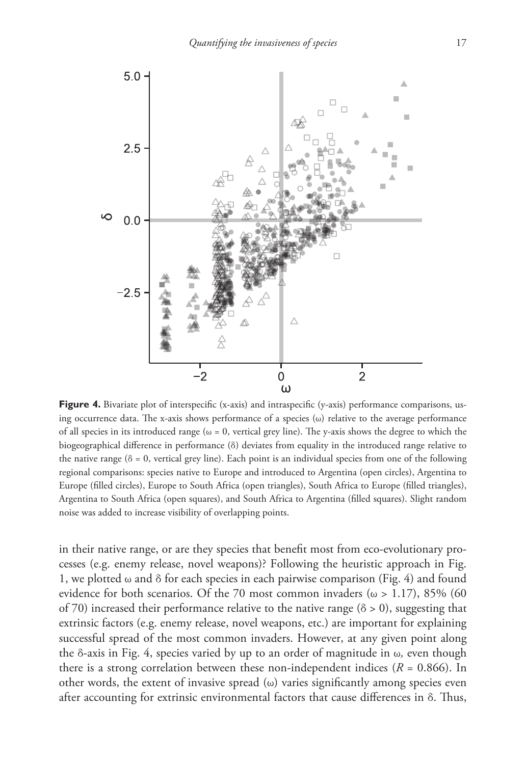

Figure 4. Bivariate plot of interspecific (x-axis) and intraspecific (y-axis) performance comparisons, using occurrence data. The x-axis shows performance of a species  $(\omega)$  relative to the average performance of all species in its introduced range ( $\omega = 0$ , vertical grey line). The y-axis shows the degree to which the biogeographical difference in performance (δ) deviates from equality in the introduced range relative to the native range ( $\delta = 0$ , vertical grey line). Each point is an individual species from one of the following regional comparisons: species native to Europe and introduced to Argentina (open circles), Argentina to Europe (filled circles), Europe to South Africa (open triangles), South Africa to Europe (filled triangles), Argentina to South Africa (open squares), and South Africa to Argentina (filled squares). Slight random noise was added to increase visibility of overlapping points.

in their native range, or are they species that benefit most from eco-evolutionary processes (e.g. enemy release, novel weapons)? Following the heuristic approach in Fig. 1, we plotted  $\omega$  and  $\delta$  for each species in each pairwise comparison (Fig. 4) and found evidence for both scenarios. Of the 70 most common invaders ( $\omega > 1.17$ ), 85% (60 of 70) increased their performance relative to the native range ( $\delta > 0$ ), suggesting that extrinsic factors (e.g. enemy release, novel weapons, etc.) are important for explaining successful spread of the most common invaders. However, at any given point along the δ-axis in Fig. 4, species varied by up to an order of magnitude in ω*,* even though there is a strong correlation between these non-independent indices ( $R = 0.866$ ). In other words, the extent of invasive spread  $(\omega)$  varies significantly among species even after accounting for extrinsic environmental factors that cause differences in  $\delta$ . Thus,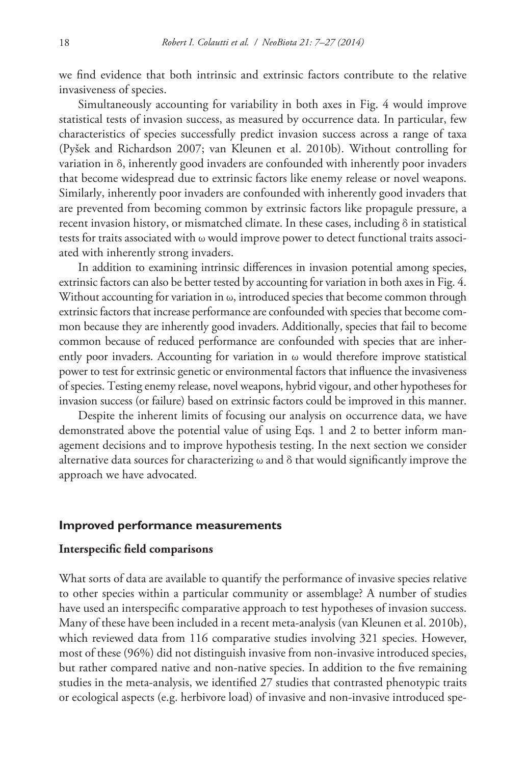we find evidence that both intrinsic and extrinsic factors contribute to the relative invasiveness of species.

Simultaneously accounting for variability in both axes in Fig. 4 would improve statistical tests of invasion success, as measured by occurrence data. In particular, few characteristics of species successfully predict invasion success across a range of taxa (Pyšek and Richardson 2007; van Kleunen et al. 2010b). Without controlling for variation in δ, inherently good invaders are confounded with inherently poor invaders that become widespread due to extrinsic factors like enemy release or novel weapons. Similarly, inherently poor invaders are confounded with inherently good invaders that are prevented from becoming common by extrinsic factors like propagule pressure, a recent invasion history, or mismatched climate. In these cases, including  $\delta$  in statistical tests for traits associated with ω would improve power to detect functional traits associated with inherently strong invaders.

In addition to examining intrinsic differences in invasion potential among species, extrinsic factors can also be better tested by accounting for variation in both axes in Fig. 4. Without accounting for variation in  $\omega$ , introduced species that become common through extrinsic factors that increase performance are confounded with species that become common because they are inherently good invaders. Additionally, species that fail to become common because of reduced performance are confounded with species that are inherently poor invaders. Accounting for variation in  $\omega$  would therefore improve statistical power to test for extrinsic genetic or environmental factors that influence the invasiveness of species. Testing enemy release, novel weapons, hybrid vigour, and other hypotheses for invasion success (or failure) based on extrinsic factors could be improved in this manner.

Despite the inherent limits of focusing our analysis on occurrence data, we have demonstrated above the potential value of using Eqs. 1 and 2 to better inform management decisions and to improve hypothesis testing. In the next section we consider alternative data sources for characterizing  $\omega$  and  $\delta$  that would significantly improve the approach we have advocated*.*

#### **Improved performance measurements**

# **Interspecific field comparisons**

What sorts of data are available to quantify the performance of invasive species relative to other species within a particular community or assemblage? A number of studies have used an interspecific comparative approach to test hypotheses of invasion success. Many of these have been included in a recent meta-analysis (van Kleunen et al. 2010b), which reviewed data from 116 comparative studies involving 321 species. However, most of these (96%) did not distinguish invasive from non-invasive introduced species, but rather compared native and non-native species. In addition to the five remaining studies in the meta-analysis, we identified 27 studies that contrasted phenotypic traits or ecological aspects (e.g. herbivore load) of invasive and non-invasive introduced spe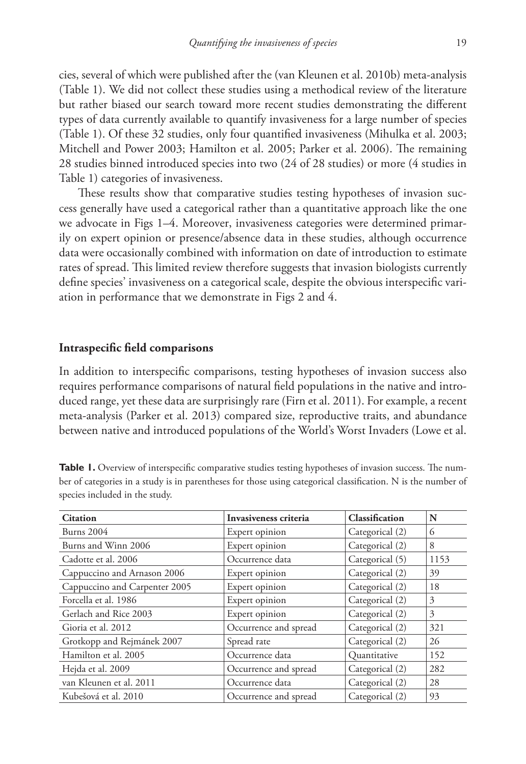cies, several of which were published after the (van Kleunen et al. 2010b) meta-analysis (Table 1). We did not collect these studies using a methodical review of the literature but rather biased our search toward more recent studies demonstrating the different types of data currently available to quantify invasiveness for a large number of species (Table 1). Of these 32 studies, only four quantified invasiveness (Mihulka et al. 2003; Mitchell and Power 2003; Hamilton et al. 2005; Parker et al. 2006). The remaining 28 studies binned introduced species into two (24 of 28 studies) or more (4 studies in Table 1) categories of invasiveness.

These results show that comparative studies testing hypotheses of invasion success generally have used a categorical rather than a quantitative approach like the one we advocate in Figs 1–4. Moreover, invasiveness categories were determined primarily on expert opinion or presence/absence data in these studies, although occurrence data were occasionally combined with information on date of introduction to estimate rates of spread. This limited review therefore suggests that invasion biologists currently define species' invasiveness on a categorical scale, despite the obvious interspecific variation in performance that we demonstrate in Figs 2 and 4.

### **Intraspecific field comparisons**

In addition to interspecific comparisons, testing hypotheses of invasion success also requires performance comparisons of natural field populations in the native and introduced range, yet these data are surprisingly rare (Firn et al. 2011). For example, a recent meta-analysis (Parker et al. 2013) compared size, reproductive traits, and abundance between native and introduced populations of the World's Worst Invaders (Lowe et al.

| Table 1. Overview of interspecific comparative studies testing hypotheses of invasion success. The num-       |
|---------------------------------------------------------------------------------------------------------------|
| ber of categories in a study is in parentheses for those using categorical classification. N is the number of |
| species included in the study.                                                                                |

| <b>Citation</b>               | Invasiveness criteria | Classification  | N    |
|-------------------------------|-----------------------|-----------------|------|
| <b>Burns</b> 2004             | Expert opinion        | Categorical (2) | 6    |
| Burns and Winn 2006           | Expert opinion        | Categorical (2) | 8    |
| Cadotte et al. 2006           | Occurrence data       | Categorical (5) | 1153 |
| Cappuccino and Arnason 2006   | Expert opinion        | Categorical (2) | 39   |
| Cappuccino and Carpenter 2005 | Expert opinion        | Categorical (2) | 18   |
| Forcella et al. 1986          | Expert opinion        | Categorical (2) | 3    |
| Gerlach and Rice 2003         | Expert opinion        | Categorical (2) | 3    |
| Gioria et al. 2012            | Occurrence and spread | Categorical (2) | 321  |
| Grotkopp and Rejmánek 2007    | Spread rate           | Categorical (2) | 26   |
| Hamilton et al. 2005          | Occurrence data       | Quantitative    | 152  |
| Hejda et al. 2009             | Occurrence and spread | Categorical (2) | 282  |
| van Kleunen et al. 2011       | Occurrence data       | Categorical (2) | 28   |
| Kubešová et al. 2010          | Occurrence and spread | Categorical (2) | 93   |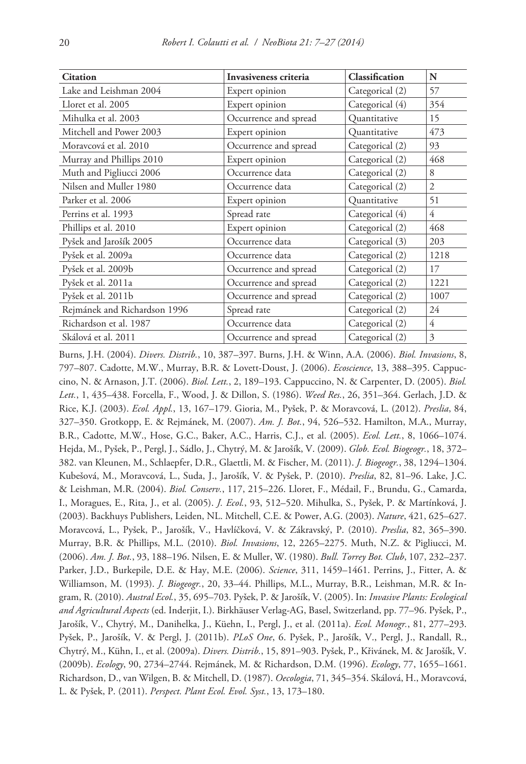| <b>Citation</b>              | Invasiveness criteria | Classification  | N              |
|------------------------------|-----------------------|-----------------|----------------|
| Lake and Leishman 2004       | Expert opinion        | Categorical (2) | 57             |
| Lloret et al. 2005           | Expert opinion        | Categorical (4) | 354            |
| Mihulka et al. 2003          | Occurrence and spread | Quantitative    | 15             |
| Mitchell and Power 2003      | Expert opinion        | Quantitative    | 473            |
| Moravcová et al. 2010        | Occurrence and spread | Categorical (2) | 93             |
| Murray and Phillips 2010     | Expert opinion        | Categorical (2) | 468            |
| Muth and Pigliucci 2006      | Occurrence data       | Categorical (2) | 8              |
| Nilsen and Muller 1980       | Occurrence data       | Categorical (2) | $\overline{2}$ |
| Parker et al. 2006           | Expert opinion        | Quantitative    | 51             |
| Perrins et al. 1993          | Spread rate           | Categorical (4) | 4              |
| Phillips et al. 2010         | Expert opinion        | Categorical (2) | 468            |
| Pyšek and Jarošík 2005       | Occurrence data       | Categorical (3) | 203            |
| Pyšek et al. 2009a           | Occurrence data       | Categorical (2) | 1218           |
| Pyšek et al. 2009b           | Occurrence and spread | Categorical (2) | 17             |
| Pyšek et al. 2011a           | Occurrence and spread | Categorical (2) | 1221           |
| Pyšek et al. 2011b           | Occurrence and spread | Categorical (2) | 1007           |
| Rejmánek and Richardson 1996 | Spread rate           | Categorical (2) | 24             |
| Richardson et al. 1987       | Occurrence data       | Categorical (2) | 4              |
| Skálová et al. 2011          | Occurrence and spread | Categorical (2) | 3              |

Burns, J.H. (2004). *Divers. Distrib.*, 10, 387–397. Burns, J.H. & Winn, A.A. (2006). *Biol. Invasions*, 8, 797–807. Cadotte, M.W., Murray, B.R. & Lovett-Doust, J. (2006). *Ecoscience*, 13, 388–395. Cappuccino, N. & Arnason, J.T. (2006). *Biol. Lett.*, 2, 189–193. Cappuccino, N. & Carpenter, D. (2005). *Biol. Lett.*, 1, 435–438. Forcella, F., Wood, J. & Dillon, S. (1986). *Weed Res.*, 26, 351–364. Gerlach, J.D. & Rice, K.J. (2003). *Ecol. Appl.*, 13, 167–179. Gioria, M., Pyšek, P. & Moravcová, L. (2012). *Preslia*, 84, 327–350. Grotkopp, E. & Rejmánek, M. (2007). *Am. J. Bot.*, 94, 526–532. Hamilton, M.A., Murray, B.R., Cadotte, M.W., Hose, G.C., Baker, A.C., Harris, C.J., et al. (2005). *Ecol. Lett.*, 8, 1066–1074. Hejda, M., Pyšek, P., Pergl, J., Sádlo, J., Chytrý, M. & Jarošík, V. (2009). *Glob. Ecol. Biogeogr.*, 18, 372– 382. van Kleunen, M., Schlaepfer, D.R., Glaettli, M. & Fischer, M. (2011). *J. Biogeogr.*, 38, 1294–1304. Kubešová, M., Moravcová, L., Suda, J., Jarošík, V. & Pyšek, P. (2010). *Preslia*, 82, 81–96. Lake, J.C. & Leishman, M.R. (2004). *Biol. Conserv.*, 117, 215–226. Lloret, F., Médail, F., Brundu, G., Camarda, I., Moragues, E., Rita, J., et al. (2005). *J. Ecol.*, 93, 512–520. Mihulka, S., Pyšek, P. & Martínková, J. (2003). Backhuys Publishers, Leiden, NL. Mitchell, C.E. & Power, A.G. (2003). *Nature*, 421, 625–627. Moravcová, L., Pyšek, P., Jarošík, V., Havlíčková, V. & Zákravský, P. (2010). *Preslia*, 82, 365–390. Murray, B.R. & Phillips, M.L. (2010). *Biol. Invasions*, 12, 2265–2275. Muth, N.Z. & Pigliucci, M. (2006). *Am. J. Bot.*, 93, 188–196. Nilsen, E. & Muller, W. (1980). *Bull. Torrey Bot. Club*, 107, 232–237. Parker, J.D., Burkepile, D.E. & Hay, M.E. (2006). *Science*, 311, 1459–1461. Perrins, J., Fitter, A. & Williamson, M. (1993). *J. Biogeogr.*, 20, 33–44. Phillips, M.L., Murray, B.R., Leishman, M.R. & Ingram, R. (2010). *Austral Ecol.*, 35, 695–703. Pyšek, P. & Jarošík, V. (2005). In: *Invasive Plants: Ecological and Agricultural Aspects* (ed. Inderjit, I.). Birkhäuser Verlag-AG, Basel, Switzerland, pp. 77–96. Pyšek, P., Jarošík, V., Chytrý, M., Danihelka, J., Küehn, I., Pergl, J., et al. (2011a). *Ecol. Monogr.*, 81, 277–293. Pyšek, P., Jarošík, V. & Pergl, J. (2011b). *PLoS One*, 6. Pyšek, P., Jarošík, V., Pergl, J., Randall, R., Chytrý, M., Kühn, I., et al. (2009a). *Divers. Distrib.*, 15, 891–903. Pyšek, P., Křivánek, M. & Jarošík, V. (2009b). *Ecology*, 90, 2734–2744. Rejmánek, M. & Richardson, D.M. (1996). *Ecology*, 77, 1655–1661. Richardson, D., van Wilgen, B. & Mitchell, D. (1987). *Oecologia*, 71, 345–354. Skálová, H., Moravcová, L. & Pyšek, P. (2011). *Perspect. Plant Ecol. Evol. Syst.*, 13, 173–180.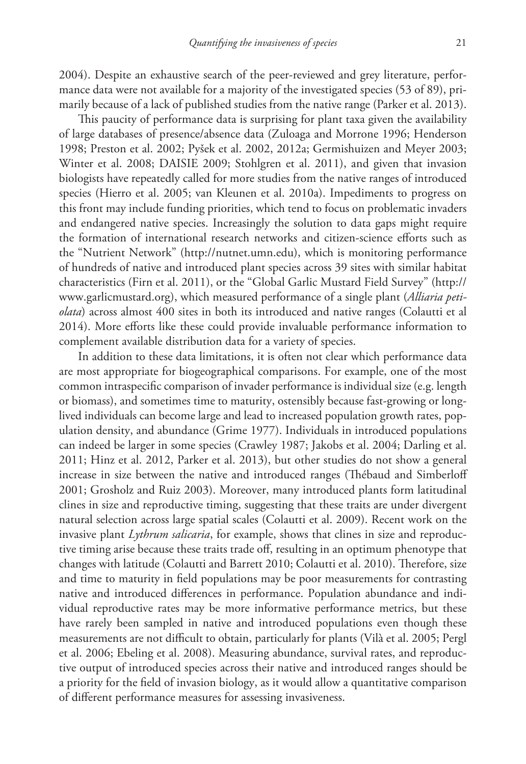2004). Despite an exhaustive search of the peer-reviewed and grey literature, performance data were not available for a majority of the investigated species (53 of 89), primarily because of a lack of published studies from the native range (Parker et al. 2013).

This paucity of performance data is surprising for plant taxa given the availability of large databases of presence/absence data (Zuloaga and Morrone 1996; Henderson 1998; Preston et al. 2002; Pyšek et al. 2002, 2012a; Germishuizen and Meyer 2003; Winter et al. 2008; DAISIE 2009; Stohlgren et al. 2011), and given that invasion biologists have repeatedly called for more studies from the native ranges of introduced species (Hierro et al. 2005; van Kleunen et al. 2010a). Impediments to progress on this front may include funding priorities, which tend to focus on problematic invaders and endangered native species. Increasingly the solution to data gaps might require the formation of international research networks and citizen-science efforts such as the "Nutrient Network" (<http://nutnet.umn.edu>), which is monitoring performance of hundreds of native and introduced plant species across 39 sites with similar habitat characteristics (Firn et al. 2011), or the "Global Garlic Mustard Field Survey" [\(http://](http://www.garlicmustard.org) [www.garlicmustard.org](http://www.garlicmustard.org)), which measured performance of a single plant (*Alliaria petiolata*) across almost 400 sites in both its introduced and native ranges (Colautti et al 2014). More efforts like these could provide invaluable performance information to complement available distribution data for a variety of species.

In addition to these data limitations, it is often not clear which performance data are most appropriate for biogeographical comparisons. For example, one of the most common intraspecific comparison of invader performance is individual size (e.g. length or biomass), and sometimes time to maturity, ostensibly because fast-growing or longlived individuals can become large and lead to increased population growth rates, population density, and abundance (Grime 1977). Individuals in introduced populations can indeed be larger in some species (Crawley 1987; Jakobs et al. 2004; Darling et al. 2011; Hinz et al. 2012, Parker et al. 2013), but other studies do not show a general increase in size between the native and introduced ranges (Thébaud and Simberloff 2001; Grosholz and Ruiz 2003). Moreover, many introduced plants form latitudinal clines in size and reproductive timing, suggesting that these traits are under divergent natural selection across large spatial scales (Colautti et al. 2009). Recent work on the invasive plant *Lythrum salicaria*, for example, shows that clines in size and reproductive timing arise because these traits trade off, resulting in an optimum phenotype that changes with latitude (Colautti and Barrett 2010; Colautti et al. 2010). Therefore, size and time to maturity in field populations may be poor measurements for contrasting native and introduced differences in performance. Population abundance and individual reproductive rates may be more informative performance metrics, but these have rarely been sampled in native and introduced populations even though these measurements are not difficult to obtain, particularly for plants (Vilà et al. 2005; Pergl et al. 2006; Ebeling et al. 2008). Measuring abundance, survival rates, and reproductive output of introduced species across their native and introduced ranges should be a priority for the field of invasion biology, as it would allow a quantitative comparison of different performance measures for assessing invasiveness.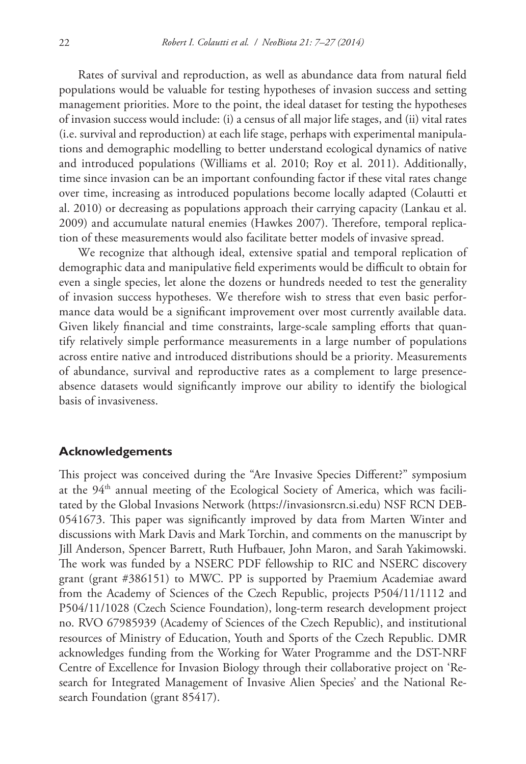Rates of survival and reproduction, as well as abundance data from natural field populations would be valuable for testing hypotheses of invasion success and setting management priorities. More to the point, the ideal dataset for testing the hypotheses of invasion success would include: (i) a census of all major life stages, and (ii) vital rates (i.e. survival and reproduction) at each life stage, perhaps with experimental manipulations and demographic modelling to better understand ecological dynamics of native and introduced populations (Williams et al. 2010; Roy et al. 2011). Additionally, time since invasion can be an important confounding factor if these vital rates change over time, increasing as introduced populations become locally adapted (Colautti et al. 2010) or decreasing as populations approach their carrying capacity (Lankau et al. 2009) and accumulate natural enemies (Hawkes 2007). Therefore, temporal replication of these measurements would also facilitate better models of invasive spread.

We recognize that although ideal, extensive spatial and temporal replication of demographic data and manipulative field experiments would be difficult to obtain for even a single species, let alone the dozens or hundreds needed to test the generality of invasion success hypotheses. We therefore wish to stress that even basic performance data would be a significant improvement over most currently available data. Given likely financial and time constraints, large-scale sampling efforts that quantify relatively simple performance measurements in a large number of populations across entire native and introduced distributions should be a priority. Measurements of abundance, survival and reproductive rates as a complement to large presenceabsence datasets would significantly improve our ability to identify the biological basis of invasiveness.

## **Acknowledgements**

This project was conceived during the "Are Invasive Species Different?" symposium at the 94<sup>th</sup> annual meeting of the Ecological Society of America, which was facilitated by the Global Invasions Network (<https://invasionsrcn.si.edu>) NSF RCN DEB-0541673. This paper was significantly improved by data from Marten Winter and discussions with Mark Davis and Mark Torchin, and comments on the manuscript by Jill Anderson, Spencer Barrett, Ruth Hufbauer, John Maron, and Sarah Yakimowski. The work was funded by a NSERC PDF fellowship to RIC and NSERC discovery grant (grant #386151) to MWC. PP is supported by Praemium Academiae award from the Academy of Sciences of the Czech Republic, projects P504/11/1112 and P504/11/1028 (Czech Science Foundation), long-term research development project no. RVO 67985939 (Academy of Sciences of the Czech Republic), and institutional resources of Ministry of Education, Youth and Sports of the Czech Republic. DMR acknowledges funding from the Working for Water Programme and the DST-NRF Centre of Excellence for Invasion Biology through their collaborative project on 'Research for Integrated Management of Invasive Alien Species' and the National Research Foundation (grant 85417).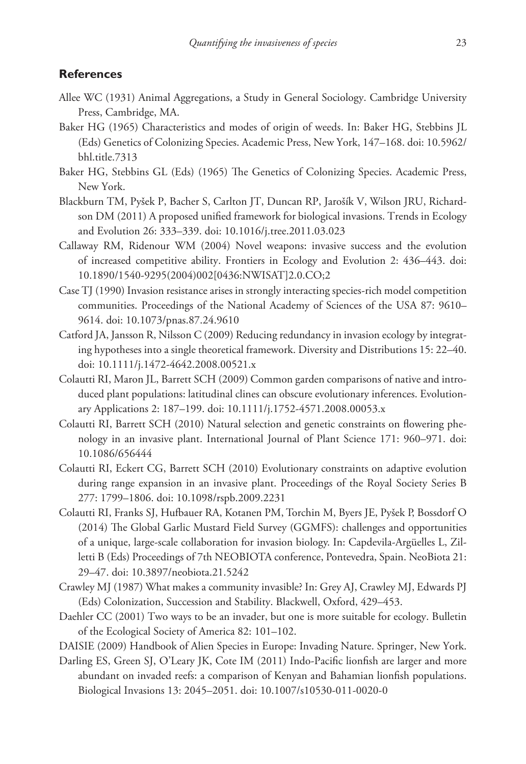# **References**

- Allee WC (1931) Animal Aggregations, a Study in General Sociology. Cambridge University Press, Cambridge, MA.
- Baker HG (1965) Characteristics and modes of origin of weeds. In: Baker HG, Stebbins JL (Eds) Genetics of Colonizing Species. Academic Press, New York, 147–168. [doi: 10.5962/](http://dx.doi.org/10.5962/bhl.title.7313) [bhl.title.7313](http://dx.doi.org/10.5962/bhl.title.7313)
- Baker HG, Stebbins GL (Eds) (1965) The Genetics of Colonizing Species. Academic Press, New York.
- Blackburn TM, Pyšek P, Bacher S, Carlton JT, Duncan RP, Jarošík V, Wilson JRU, Richardson DM (2011) A proposed unified framework for biological invasions. Trends in Ecology and Evolution 26: 333–339. [doi: 10.1016/j.tree.2011.03.023](http://dx.doi.org/10.1016/j.tree.2011.03.023)
- Callaway RM, Ridenour WM (2004) Novel weapons: invasive success and the evolution of increased competitive ability. Frontiers in Ecology and Evolution 2: 436–443. [doi:](http://dx.doi.org/10.1890/1540-9295(2004)002[0436:NWISAT]2.0.CO;2) [10.1890/1540-9295\(2004\)002\[0436:NWISAT\]2.0.CO;2](http://dx.doi.org/10.1890/1540-9295(2004)002[0436:NWISAT]2.0.CO;2)
- Case TJ (1990) Invasion resistance arises in strongly interacting species-rich model competition communities. Proceedings of the National Academy of Sciences of the USA 87: 9610– 9614. [doi: 10.1073/pnas.87.24.9610](http://dx.doi.org/10.1073/pnas.87.24.9610)
- Catford JA, Jansson R, Nilsson C (2009) Reducing redundancy in invasion ecology by integrating hypotheses into a single theoretical framework. Diversity and Distributions 15: 22–40. [doi: 10.1111/j.1472-4642.2008.00521.x](http://dx.doi.org/10.1111/j.1472-4642.2008.00521.x)
- Colautti RI, Maron JL, Barrett SCH (2009) Common garden comparisons of native and introduced plant populations: latitudinal clines can obscure evolutionary inferences. Evolutionary Applications 2: 187–199. [doi: 10.1111/j.1752-4571.2008.00053.x](http://dx.doi.org/10.1111/j.1752-4571.2008.00053.x)
- Colautti RI, Barrett SCH (2010) Natural selection and genetic constraints on flowering phenology in an invasive plant. International Journal of Plant Science 171: 960–971. [doi:](http://dx.doi.org/10.1086/656444) [10.1086/656444](http://dx.doi.org/10.1086/656444)
- Colautti RI, Eckert CG, Barrett SCH (2010) Evolutionary constraints on adaptive evolution during range expansion in an invasive plant. Proceedings of the Royal Society Series B 277: 1799–1806. [doi: 10.1098/rspb.2009.2231](http://dx.doi.org/10.1098/rspb.2009.2231)
- Colautti RI, Franks SJ, Hufbauer RA, Kotanen PM, Torchin M, Byers JE, Pyšek P, Bossdorf O (2014) The Global Garlic Mustard Field Survey (GGMFS): challenges and opportunities of a unique, large-scale collaboration for invasion biology. In: Capdevila-Argüelles L, Zilletti B (Eds) Proceedings of 7th NEOBIOTA conference, Pontevedra, Spain. NeoBiota 21: 29–47. [doi: 10.3897/neobiota.21.5242](http://dx.doi.org/10.3897/neobiota.21.5242)
- Crawley MJ (1987) What makes a community invasible? In: Grey AJ, Crawley MJ, Edwards PJ (Eds) Colonization, Succession and Stability. Blackwell, Oxford, 429–453.
- Daehler CC (2001) Two ways to be an invader, but one is more suitable for ecology. Bulletin of the Ecological Society of America 82: 101–102.
- DAISIE (2009) Handbook of Alien Species in Europe: Invading Nature. Springer, New York.
- Darling ES, Green SJ, O'Leary JK, Cote IM (2011) Indo-Pacific lionfish are larger and more abundant on invaded reefs: a comparison of Kenyan and Bahamian lionfish populations. Biological Invasions 13: 2045–2051. [doi: 10.1007/s10530-011-0020-0](http://dx.doi.org/10.1007/s10530-011-0020-0)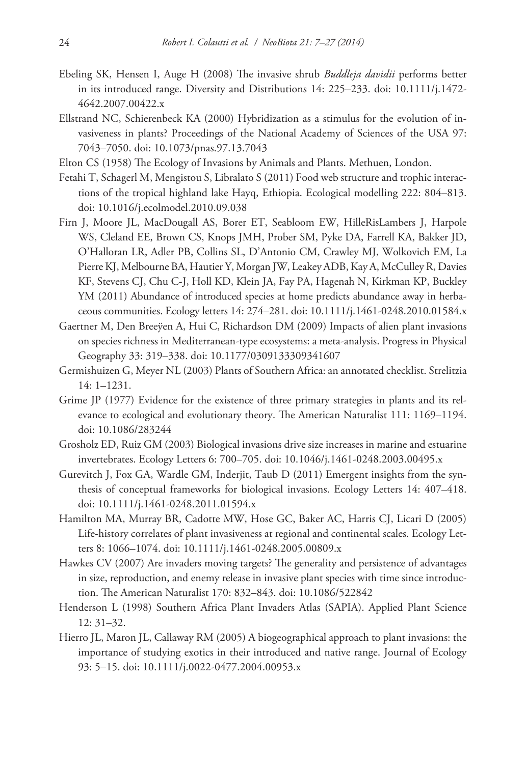- Ebeling SK, Hensen I, Auge H (2008) The invasive shrub *Buddleja davidii* performs better in its introduced range. Diversity and Distributions 14: 225–233. [doi: 10.1111/j.1472-](http://dx.doi.org/10.1111/j.1472-4642.2007.00422.x) [4642.2007.00422.x](http://dx.doi.org/10.1111/j.1472-4642.2007.00422.x)
- Ellstrand NC, Schierenbeck KA (2000) Hybridization as a stimulus for the evolution of invasiveness in plants? Proceedings of the National Academy of Sciences of the USA 97: 7043–7050. [doi: 10.1073/pnas.97.13.7043](http://dx.doi.org/10.1073/pnas.97.13.7043)
- Elton CS (1958) The Ecology of Invasions by Animals and Plants. Methuen, London.
- Fetahi T, Schagerl M, Mengistou S, Libralato S (2011) Food web structure and trophic interactions of the tropical highland lake Hayq, Ethiopia. Ecological modelling 222: 804–813. [doi: 10.1016/j.ecolmodel.2010.09.038](http://dx.doi.org/10.1016/j.ecolmodel.2010.09.038)
- Firn J, Moore JL, MacDougall AS, Borer ET, Seabloom EW, HilleRisLambers J, Harpole WS, Cleland EE, Brown CS, Knops JMH, Prober SM, Pyke DA, Farrell KA, Bakker JD, O'Halloran LR, Adler PB, Collins SL, D'Antonio CM, Crawley MJ, Wolkovich EM, La Pierre KJ, Melbourne BA, Hautier Y, Morgan JW, Leakey ADB, Kay A, McCulley R, Davies KF, Stevens CJ, Chu C-J, Holl KD, Klein JA, Fay PA, Hagenah N, Kirkman KP, Buckley YM (2011) Abundance of introduced species at home predicts abundance away in herbaceous communities. Ecology letters 14: 274–281. [doi: 10.1111/j.1461-0248.2010.01584.x](http://dx.doi.org/10.1111/j.1461-0248.2010.01584.x)
- Gaertner M, Den Breeÿen A, Hui C, Richardson DM (2009) Impacts of alien plant invasions on species richness in Mediterranean-type ecosystems: a meta-analysis. Progress in Physical Geography 33: 319–338. [doi: 10.1177/0309133309341607](http://dx.doi.org/10.1177/0309133309341607)
- Germishuizen G, Meyer NL (2003) Plants of Southern Africa: an annotated checklist. Strelitzia 14: 1–1231.
- Grime JP (1977) Evidence for the existence of three primary strategies in plants and its relevance to ecological and evolutionary theory. The American Naturalist 111: 1169–1194. [doi: 10.1086/283244](http://dx.doi.org/10.1086/283244)
- Grosholz ED, Ruiz GM (2003) Biological invasions drive size increases in marine and estuarine invertebrates. Ecology Letters 6: 700–705. [doi: 10.1046/j.1461-0248.2003.00495.x](http://dx.doi.org/10.1046/j.1461-0248.2003.00495.x)
- Gurevitch J, Fox GA, Wardle GM, Inderjit, Taub D (2011) Emergent insights from the synthesis of conceptual frameworks for biological invasions. Ecology Letters 14: 407–418. [doi: 10.1111/j.1461-0248.2011.01594.x](http://dx.doi.org/10.1111/j.1461-0248.2011.01594.x)
- Hamilton MA, Murray BR, Cadotte MW, Hose GC, Baker AC, Harris CJ, Licari D (2005) Life-history correlates of plant invasiveness at regional and continental scales. Ecology Letters 8: 1066–1074. [doi: 10.1111/j.1461-0248.2005.00809.x](http://dx.doi.org/10.1111/j.1461-0248.2005.00809.x)
- Hawkes CV (2007) Are invaders moving targets? The generality and persistence of advantages in size, reproduction, and enemy release in invasive plant species with time since introduction. The American Naturalist 170: 832–843. [doi: 10.1086/522842](http://dx.doi.org/10.1086/522842)
- Henderson L (1998) Southern Africa Plant Invaders Atlas (SAPIA). Applied Plant Science 12: 31–32.
- Hierro JL, Maron JL, Callaway RM (2005) A biogeographical approach to plant invasions: the importance of studying exotics in their introduced and native range. Journal of Ecology 93: 5–15. [doi: 10.1111/j.0022-0477.2004.00953.x](http://dx.doi.org/10.1111/j.0022-0477.2004.00953.x)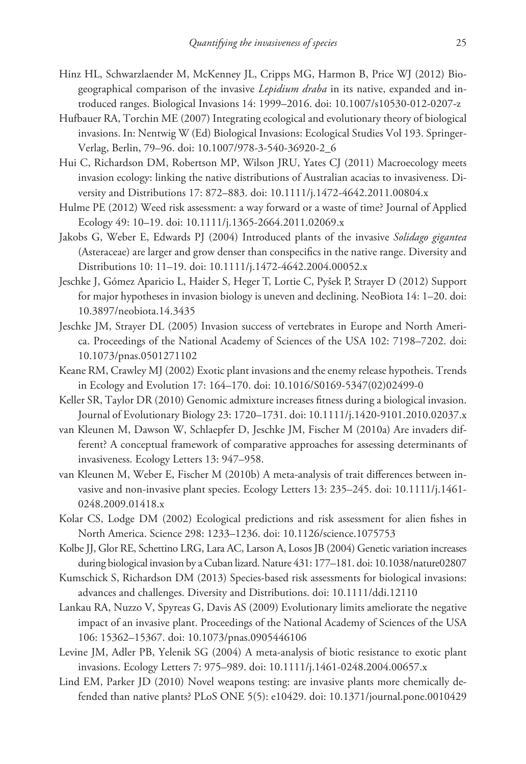- Hinz HL, Schwarzlaender M, McKenney JL, Cripps MG, Harmon B, Price WJ (2012) Biogeographical comparison of the invasive *Lepidium draba* in its native, expanded and introduced ranges. Biological Invasions 14: 1999–2016. [doi: 10.1007/s10530-012-0207-z](http://dx.doi.org/10.1007/s10530-012-0207-z)
- Hufbauer RA, Torchin ME (2007) Integrating ecological and evolutionary theory of biological invasions. In: Nentwig W (Ed) Biological Invasions: Ecological Studies Vol 193. Springer-Verlag, Berlin, 79–96. [doi: 10.1007/978-3-540-36920-2\\_6](http://dx.doi.org/10.1007/978-3-540-36920-2_6)
- Hui C, Richardson DM, Robertson MP, Wilson JRU, Yates CJ (2011) Macroecology meets invasion ecology: linking the native distributions of Australian acacias to invasiveness. Diversity and Distributions 17: 872–883. [doi: 10.1111/j.1472-4642.2011.00804.x](http://dx.doi.org/10.1111/j.1472-4642.2011.00804.x)
- Hulme PE (2012) Weed risk assessment: a way forward or a waste of time? Journal of Applied Ecology 49: 10–19. [doi: 10.1111/j.1365-2664.2011.02069.x](http://dx.doi.org/10.1111/j.1365-2664.2011.02069.x)
- Jakobs G, Weber E, Edwards PJ (2004) Introduced plants of the invasive *Solidago gigantea* (Asteraceae) are larger and grow denser than conspecifics in the native range. Diversity and Distributions 10: 11–19. [doi: 10.1111/j.1472-4642.2004.00052.x](http://dx.doi.org/10.1111/j.1472-4642.2004.00052.x)
- Jeschke J, Gómez Aparicio L, Haider S, Heger T, Lortie C, Pyšek P, Strayer D (2012) Support for major hypotheses in invasion biology is uneven and declining. NeoBiota 14: 1–20. [doi:](http://dx.doi.org/10.3897/neobiota.14.3435) [10.3897/neobiota.14.3435](http://dx.doi.org/10.3897/neobiota.14.3435)
- Jeschke JM, Strayer DL (2005) Invasion success of vertebrates in Europe and North America. Proceedings of the National Academy of Sciences of the USA 102: 7198–7202. [doi:](http://dx.doi.org/10.1073/pnas.0501271102) [10.1073/pnas.0501271102](http://dx.doi.org/10.1073/pnas.0501271102)
- Keane RM, Crawley MJ (2002) Exotic plant invasions and the enemy release hypotheis. Trends in Ecology and Evolution 17: 164–170. [doi: 10.1016/S0169-5347\(02\)02499-0](http://dx.doi.org/10.1016/S0169-5347(02)02499-0)
- Keller SR, Taylor DR (2010) Genomic admixture increases fitness during a biological invasion. Journal of Evolutionary Biology 23: 1720–1731. [doi: 10.1111/j.1420-9101.2010.02037.x](http://dx.doi.org/10.1111/j.1420-9101.2010.02037.x)
- van Kleunen M, Dawson W, Schlaepfer D, Jeschke JM, Fischer M (2010a) Are invaders different? A conceptual framework of comparative approaches for assessing determinants of invasiveness. Ecology Letters 13: 947–958.
- van Kleunen M, Weber E, Fischer M (2010b) A meta-analysis of trait differences between invasive and non-invasive plant species. Ecology Letters 13: 235–245. [doi: 10.1111/j.1461-](http://dx.doi.org/10.1111/j.1461-0248.2009.01418.x) [0248.2009.01418.x](http://dx.doi.org/10.1111/j.1461-0248.2009.01418.x)
- Kolar CS, Lodge DM (2002) Ecological predictions and risk assessment for alien fishes in North America. Science 298: 1233–1236. [doi: 10.1126/science.1075753](http://dx.doi.org/10.1126/science.1075753)
- Kolbe JJ, Glor RE, Schettino LRG, Lara AC, Larson A, Losos JB (2004) Genetic variation increases during biological invasion by a Cuban lizard. Nature 431: 177–181. [doi: 10.1038/nature02807](http://dx.doi.org/10.1038/nature02807)
- Kumschick S, Richardson DM (2013) Species-based risk assessments for biological invasions: advances and challenges. Diversity and Distributions. [doi: 10.1111/ddi.12110](http://dx.doi.org/10.1111/ddi.12110)
- Lankau RA, Nuzzo V, Spyreas G, Davis AS (2009) Evolutionary limits ameliorate the negative impact of an invasive plant. Proceedings of the National Academy of Sciences of the USA 106: 15362–15367. [doi: 10.1073/pnas.0905446106](http://dx.doi.org/10.1073/pnas.0905446106)
- Levine JM, Adler PB, Yelenik SG (2004) A meta-analysis of biotic resistance to exotic plant invasions. Ecology Letters 7: 975–989. [doi: 10.1111/j.1461-0248.2004.00657.x](http://dx.doi.org/10.1111/j.1461-0248.2004.00657.x)
- Lind EM, Parker JD (2010) Novel weapons testing: are invasive plants more chemically defended than native plants? PLoS ONE 5(5): e10429. [doi: 10.1371/journal.pone.0010429](http://dx.doi.org/10.1371/journal.pone.0010429)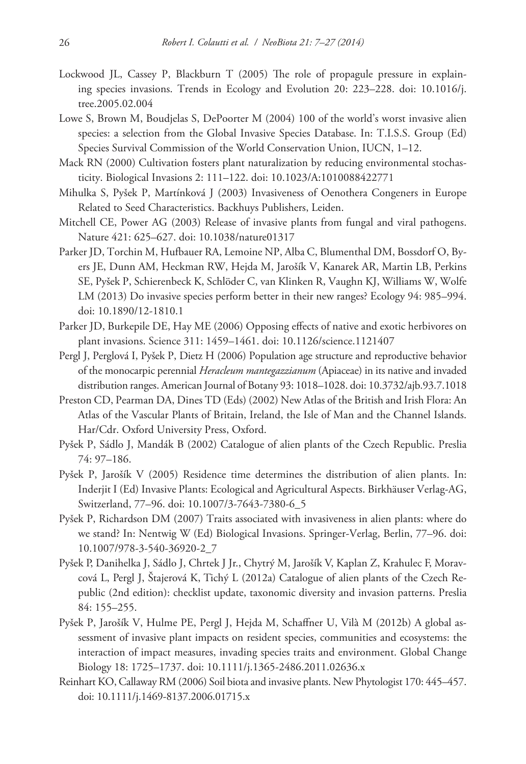- Lockwood JL, Cassey P, Blackburn T (2005) The role of propagule pressure in explaining species invasions. Trends in Ecology and Evolution 20: 223–228. [doi: 10.1016/j.](http://dx.doi.org/10.1016/j.tree.2005.02.004) [tree.2005.02.004](http://dx.doi.org/10.1016/j.tree.2005.02.004)
- Lowe S, Brown M, Boudjelas S, DePoorter M (2004) 100 of the world's worst invasive alien species: a selection from the Global Invasive Species Database. In: T.I.S.S. Group (Ed) Species Survival Commission of the World Conservation Union, IUCN, 1–12.
- Mack RN (2000) Cultivation fosters plant naturalization by reducing environmental stochasticity. Biological Invasions 2: 111–122. [doi: 10.1023/A:1010088422771](http://dx.doi.org/10.1023/A:1010088422771)
- Mihulka S, Pyšek P, Martínková J (2003) Invasiveness of Oenothera Congeners in Europe Related to Seed Characteristics. Backhuys Publishers, Leiden.
- Mitchell CE, Power AG (2003) Release of invasive plants from fungal and viral pathogens. Nature 421: 625–627. [doi: 10.1038/nature01317](http://dx.doi.org/10.1038/nature01317)
- Parker JD, Torchin M, Hufbauer RA, Lemoine NP, Alba C, Blumenthal DM, Bossdorf O, Byers JE, Dunn AM, Heckman RW, Hejda M, Jarošík V, Kanarek AR, Martin LB, Perkins SE, Pyšek P, Schierenbeck K, Schlöder C, van Klinken R, Vaughn KJ, Williams W, Wolfe LM (2013) Do invasive species perform better in their new ranges? Ecology 94: 985–994. [doi: 10.1890/12-1810.1](http://dx.doi.org/10.1890/12-1810.1)
- Parker JD, Burkepile DE, Hay ME (2006) Opposing effects of native and exotic herbivores on plant invasions. Science 311: 1459–1461. [doi: 10.1126/science.1121407](http://dx.doi.org/10.1126/science.1121407)
- Pergl J, Perglová I, Pyšek P, Dietz H (2006) Population age structure and reproductive behavior of the monocarpic perennial *Heracleum mantegazzianum* (Apiaceae) in its native and invaded distribution ranges. American Journal of Botany 93: 1018–1028. [doi: 10.3732/ajb.93.7.1018](http://dx.doi.org/10.3732/ajb.93.7.1018)
- Preston CD, Pearman DA, Dines TD (Eds) (2002) New Atlas of the British and Irish Flora: An Atlas of the Vascular Plants of Britain, Ireland, the Isle of Man and the Channel Islands. Har/Cdr. Oxford University Press, Oxford.
- Pyšek P, Sádlo J, Mandák B (2002) Catalogue of alien plants of the Czech Republic. Preslia 74: 97–186.
- Pyšek P, Jarošík V (2005) Residence time determines the distribution of alien plants. In: Inderjit I (Ed) Invasive Plants: Ecological and Agricultural Aspects. Birkhäuser Verlag-AG, Switzerland, 77–96. [doi: 10.1007/3-7643-7380-6\\_5](http://dx.doi.org/10.1007/3-7643-7380-6_5)
- Pyšek P, Richardson DM (2007) Traits associated with invasiveness in alien plants: where do we stand? In: Nentwig W (Ed) Biological Invasions. Springer-Verlag, Berlin, 77–96. [doi:](http://dx.doi.org/10.1007/978-3-540-36920-2_7) [10.1007/978-3-540-36920-2\\_7](http://dx.doi.org/10.1007/978-3-540-36920-2_7)
- Pyšek P, Danihelka J, Sádlo J, Chrtek J Jr., Chytrý M, Jarošík V, Kaplan Z, Krahulec F, Moravcová L, Pergl J, Štajerová K, Tichý L (2012a) Catalogue of alien plants of the Czech Republic (2nd edition): checklist update, taxonomic diversity and invasion patterns. Preslia 84: 155–255.
- Pyšek P, Jarošík V, Hulme PE, Pergl J, Hejda M, Schaffner U, Vilà M (2012b) A global assessment of invasive plant impacts on resident species, communities and ecosystems: the interaction of impact measures, invading species traits and environment. Global Change Biology 18: 1725–1737. [doi: 10.1111/j.1365-2486.2011.02636.x](http://dx.doi.org/10.1111/j.1365-2486.2011.02636.x)
- Reinhart KO, Callaway RM (2006) Soil biota and invasive plants. New Phytologist 170: 445–457. [doi: 10.1111/j.1469-8137.2006.01715.x](http://dx.doi.org/10.1111/j.1469-8137.2006.01715.x)